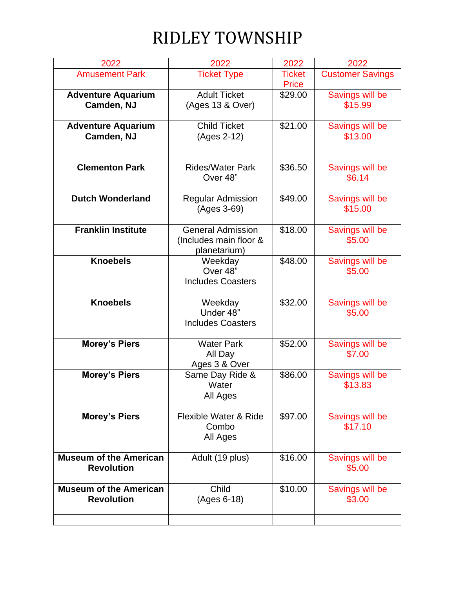## RIDLEY TOWNSHIP

| 2022                                               | 2022                                                               | 2022                          | 2022                       |
|----------------------------------------------------|--------------------------------------------------------------------|-------------------------------|----------------------------|
| <b>Amusement Park</b>                              | <b>Ticket Type</b>                                                 | <b>Ticket</b><br><b>Price</b> | <b>Customer Savings</b>    |
| <b>Adventure Aquarium</b><br>Camden, NJ            | <b>Adult Ticket</b><br>(Ages 13 & Over)                            | \$29.00                       | Savings will be<br>\$15.99 |
| <b>Adventure Aquarium</b><br>Camden, NJ            | <b>Child Ticket</b><br>(Ages 2-12)                                 | \$21.00                       | Savings will be<br>\$13.00 |
| <b>Clementon Park</b>                              | <b>Rides/Water Park</b><br>Over 48"                                | \$36.50                       | Savings will be<br>\$6.14  |
| <b>Dutch Wonderland</b>                            | <b>Regular Admission</b><br>(Ages 3-69)                            | \$49.00                       | Savings will be<br>\$15.00 |
| <b>Franklin Institute</b>                          | <b>General Admission</b><br>(Includes main floor &<br>planetarium) | \$18.00                       | Savings will be<br>\$5.00  |
| <b>Knoebels</b>                                    | Weekday<br>Over 48"<br><b>Includes Coasters</b>                    | \$48.00                       | Savings will be<br>\$5.00  |
| <b>Knoebels</b>                                    | Weekday<br>Under 48"<br><b>Includes Coasters</b>                   | \$32.00                       | Savings will be<br>\$5.00  |
| <b>Morey's Piers</b>                               | <b>Water Park</b><br>All Day<br>Ages 3 & Over                      | \$52.00                       | Savings will be<br>\$7.00  |
| <b>Morey's Piers</b>                               | Same Day Ride &<br>Water<br>All Ages                               | \$86.00                       | Savings will be<br>\$13.83 |
| <b>Morey's Piers</b>                               | <b>Flexible Water &amp; Ride</b><br>Combo<br>All Ages              | \$97.00                       | Savings will be<br>\$17.10 |
| <b>Museum of the American</b><br><b>Revolution</b> | Adult (19 plus)                                                    | \$16.00                       | Savings will be<br>\$5.00  |
| <b>Museum of the American</b><br><b>Revolution</b> | Child<br>(Ages 6-18)                                               | \$10.00                       | Savings will be<br>\$3.00  |